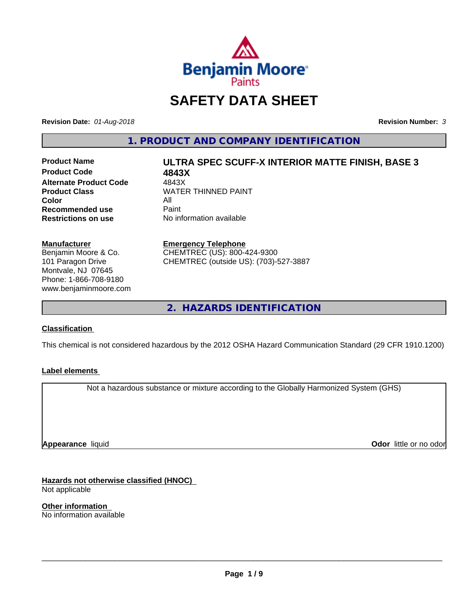

## **SAFETY DATA SHEET**

**Revision Date:** *01-Aug-2018* **Revision Number:** *3*

**1. PRODUCT AND COMPANY IDENTIFICATION**

**Product Code 4843X**<br> **Alternate Product Code** 4843X **Alternate Product Code**<br>Product Class **Color** All All<br>**Recommended use** Paint **Recommended use**<br>Restrictions on use

# **Product Name ULTRA SPEC SCUFF-X INTERIOR MATTE FINISH, BASE 3**

**WATER THINNED PAINT No information available** 

**Manufacturer** Benjamin Moore & Co. 101 Paragon Drive

Montvale, NJ 07645 Phone: 1-866-708-9180 www.benjaminmoore.com

### **Emergency Telephone**

CHEMTREC (US): 800-424-9300 CHEMTREC (outside US): (703)-527-3887

**2. HAZARDS IDENTIFICATION**

### **Classification**

This chemical is not considered hazardous by the 2012 OSHA Hazard Communication Standard (29 CFR 1910.1200)

### **Label elements**

Not a hazardous substance or mixture according to the Globally Harmonized System (GHS)

**Appearance** liquid

**Odor** little or no odor

**Hazards not otherwise classified (HNOC)** Not applicable

**Other information** No information available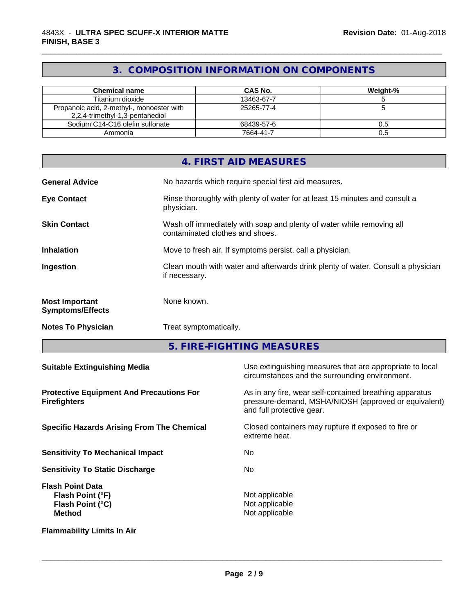### **3. COMPOSITION INFORMATION ON COMPONENTS**

\_\_\_\_\_\_\_\_\_\_\_\_\_\_\_\_\_\_\_\_\_\_\_\_\_\_\_\_\_\_\_\_\_\_\_\_\_\_\_\_\_\_\_\_\_\_\_\_\_\_\_\_\_\_\_\_\_\_\_\_\_\_\_\_\_\_\_\_\_\_\_\_\_\_\_\_\_\_\_\_\_\_\_\_\_\_\_\_\_\_\_\_\_

| <b>Chemical name</b>                                                         | CAS No.    | Weight-% |
|------------------------------------------------------------------------------|------------|----------|
| Titanium dioxide                                                             | 13463-67-7 |          |
| Propanoic acid, 2-methyl-, monoester with<br>2,2,4-trimethyl-1,3-pentanediol | 25265-77-4 |          |
| Sodium C14-C16 olefin sulfonate                                              | 68439-57-6 | 0.5      |
| Ammonia                                                                      | 7664-41-7  | 0.5      |

|                                                  | 4. FIRST AID MEASURES                                                                                    |
|--------------------------------------------------|----------------------------------------------------------------------------------------------------------|
| <b>General Advice</b>                            | No hazards which require special first aid measures.                                                     |
| <b>Eye Contact</b>                               | Rinse thoroughly with plenty of water for at least 15 minutes and consult a<br>physician.                |
| <b>Skin Contact</b>                              | Wash off immediately with soap and plenty of water while removing all<br>contaminated clothes and shoes. |
| <b>Inhalation</b>                                | Move to fresh air. If symptoms persist, call a physician.                                                |
| Ingestion                                        | Clean mouth with water and afterwards drink plenty of water. Consult a physician<br>if necessary.        |
| <b>Most Important</b><br><b>Symptoms/Effects</b> | None known.                                                                                              |
| <b>Notes To Physician</b>                        | Treat symptomatically.                                                                                   |

**5. FIRE-FIGHTING MEASURES**

| <b>Suitable Extinguishing Media</b>                                              | Use extinguishing measures that are appropriate to local<br>circumstances and the surrounding environment.                                   |
|----------------------------------------------------------------------------------|----------------------------------------------------------------------------------------------------------------------------------------------|
| <b>Protective Equipment And Precautions For</b><br><b>Firefighters</b>           | As in any fire, wear self-contained breathing apparatus<br>pressure-demand, MSHA/NIOSH (approved or equivalent)<br>and full protective gear. |
| <b>Specific Hazards Arising From The Chemical</b>                                | Closed containers may rupture if exposed to fire or<br>extreme heat.                                                                         |
| <b>Sensitivity To Mechanical Impact</b>                                          | No.                                                                                                                                          |
| <b>Sensitivity To Static Discharge</b>                                           | No.                                                                                                                                          |
| <b>Flash Point Data</b><br>Flash Point (°F)<br>Flash Point (°C)<br><b>Method</b> | Not applicable<br>Not applicable<br>Not applicable                                                                                           |
| <b>Flammability Limits In Air</b>                                                |                                                                                                                                              |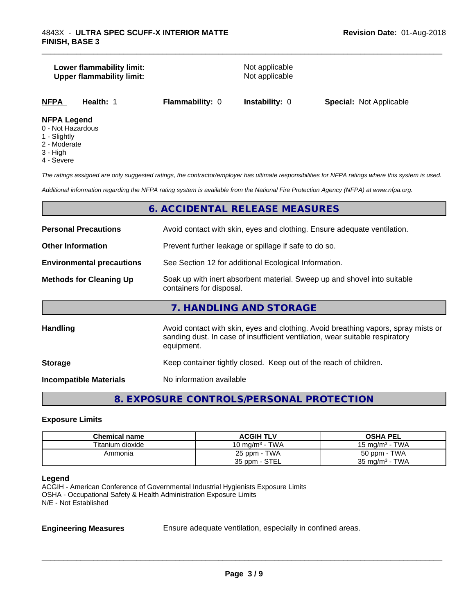### **Lower flammability limit:**<br> **Upper flammability limit:**<br>
Upper flammability limit:<br>
Not applicable **Upper flammability limit:**

\_\_\_\_\_\_\_\_\_\_\_\_\_\_\_\_\_\_\_\_\_\_\_\_\_\_\_\_\_\_\_\_\_\_\_\_\_\_\_\_\_\_\_\_\_\_\_\_\_\_\_\_\_\_\_\_\_\_\_\_\_\_\_\_\_\_\_\_\_\_\_\_\_\_\_\_\_\_\_\_\_\_\_\_\_\_\_\_\_\_\_\_\_

**NFPA Health:** 1 **Flammability:** 0 **Instability:** 0 **Special:** Not Applicable

### **NFPA Legend**

- 0 Not Hazardous
- 1 Slightly
- 2 Moderate
- 3 High
- 4 Severe

*The ratings assigned are only suggested ratings, the contractor/employer has ultimate responsibilities for NFPA ratings where this system is used.*

*Additional information regarding the NFPA rating system is available from the National Fire Protection Agency (NFPA) at www.nfpa.org.*

### **6. ACCIDENTAL RELEASE MEASURES**

| <b>Personal Precautions</b>      | Avoid contact with skin, eyes and clothing. Ensure adequate ventilation.                                                                                                         |
|----------------------------------|----------------------------------------------------------------------------------------------------------------------------------------------------------------------------------|
| <b>Other Information</b>         | Prevent further leakage or spillage if safe to do so.                                                                                                                            |
| <b>Environmental precautions</b> | See Section 12 for additional Ecological Information.                                                                                                                            |
| <b>Methods for Cleaning Up</b>   | Soak up with inert absorbent material. Sweep up and shovel into suitable<br>containers for disposal.                                                                             |
|                                  | 7. HANDLING AND STORAGE                                                                                                                                                          |
| Handling                         | Avoid contact with skin, eyes and clothing. Avoid breathing vapors, spray mists or<br>sanding dust. In case of insufficient ventilation, wear suitable respiratory<br>equipment. |
| <b>Storage</b>                   | Keep container tightly closed. Keep out of the reach of children.                                                                                                                |
| <b>Incompatible Materials</b>    | No information available                                                                                                                                                         |

### **8. EXPOSURE CONTROLS/PERSONAL PROTECTION**

### **Exposure Limits**

| <b>Chemical name</b> | <b>ACGIH TLV</b>  | <b>OSHA PEL</b>           |  |
|----------------------|-------------------|---------------------------|--|
| Titanium dioxide     | 10 mg/m $3$ - TWA | 15 mg/m $3$ - TWA         |  |
| Ammonia              | 25 ppm - TWA      | 50 ppm - TWA              |  |
|                      | 35 ppm - STEL     | $35 \text{ mg/m}^3$ - TWA |  |

### **Legend**

ACGIH - American Conference of Governmental Industrial Hygienists Exposure Limits OSHA - Occupational Safety & Health Administration Exposure Limits N/E - Not Established

**Engineering Measures** Ensure adequate ventilation, especially in confined areas.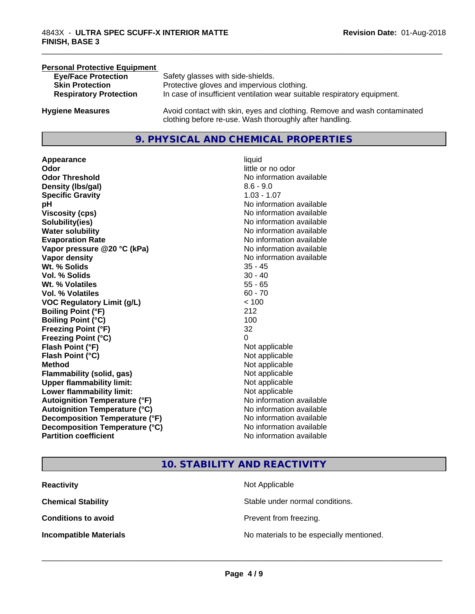### **Personal Protective Equipment**<br> **Eve/Face Protection Eye/Face Protection** Safety glasses with side-shields.<br> **Skin Protection** Protective gloves and impervious Protective gloves and impervious clothing. **Respiratory Protection** In case of insufficient ventilation wear suitable respiratory equipment. **Hygiene Measures** Avoid contact with skin, eyes and clothing. Remove and wash contaminated clothing before re-use. Wash thoroughly after handling.

### **9. PHYSICAL AND CHEMICAL PROPERTIES**

**Appearance** liquid **Odor**<br> **Odor Threshold**<br> **Odor Threshold**<br> **CODOR**<br> **CODOR**<br> **CODOR**<br> **CODOR**<br> **CODOR**<br> **CODOR**<br> **CODOR**<br> **CODOR**<br> **CODOR**<br> **CODOR Density (Ibs/gal)** 8.6 - 9.0 **Specific Gravity** 1.03 - 1.07 **pH pH**  $\blacksquare$ **Viscosity (cps)** No information available **Solubility(ies)** No information available **Water solubility** No information available **Evaporation Rate No information available No information available Vapor pressure @20 °C (kPa)** No information available **Vapor density No information available No information available Wt. % Solids** 35 - 45 **Vol. % Solids** 30 - 40 **Wt. % Volatiles** 55 - 65 **Vol. % Volatiles** 60 - 70 **VOC Regulatory Limit (g/L)** < 100 **Boiling Point (°F)** 212 **Boiling Point (°C)** 100 **Freezing Point (°F)** 32 **Freezing Point (°C)** 0 **Flash Point (°F)**<br> **Flash Point (°C)**<br> **Flash Point (°C)**<br> **Point (°C)**<br> **Point (°C)**<br> **Point (°C)**<br> **Point (°C)**<br> **Point (°C) Flash Point (°C) Method** Not applicable Not applicable **Flammability (solid, gas)** Not applicable **Upper flammability limit:** Not applicable **Lower flammability limit:** Not applicable **Autoignition Temperature (°F)** No information available **Autoignition Temperature (°C)** No information available **Decomposition Temperature (°F)** No information available<br> **Decomposition Temperature (°C)** No information available **Decomposition Temperature (°C) Partition coefficient Contract Contract Contract Contract Contract Contract Contract Contract Contract Contract Contract Contract Contract Contract Contract Contract Contract Contract Contract Contract Contract Contract** 

# **No information available**

\_\_\_\_\_\_\_\_\_\_\_\_\_\_\_\_\_\_\_\_\_\_\_\_\_\_\_\_\_\_\_\_\_\_\_\_\_\_\_\_\_\_\_\_\_\_\_\_\_\_\_\_\_\_\_\_\_\_\_\_\_\_\_\_\_\_\_\_\_\_\_\_\_\_\_\_\_\_\_\_\_\_\_\_\_\_\_\_\_\_\_\_\_

### **10. STABILITY AND REACTIVITY**

| <b>Reactivity</b>             | Not Applicable                           |
|-------------------------------|------------------------------------------|
| <b>Chemical Stability</b>     | Stable under normal conditions.          |
| <b>Conditions to avoid</b>    | Prevent from freezing.                   |
| <b>Incompatible Materials</b> | No materials to be especially mentioned. |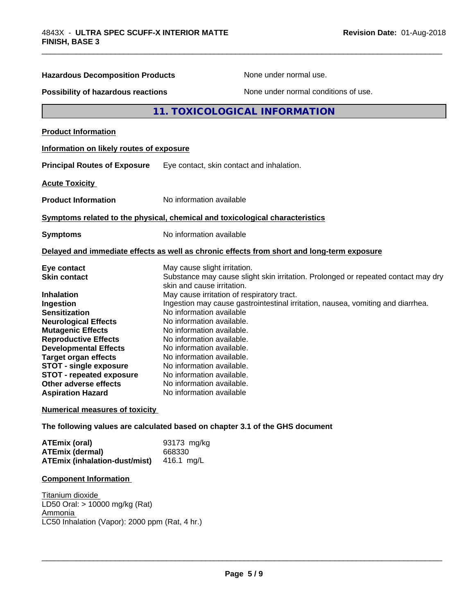| <b>Hazardous Decomposition Products</b>                                                                                                                                                                                                                                                                                                                                 | None under normal use.                                                                                                                                                                                                                                                                                                                                                                                                                                                                                                                                                           |
|-------------------------------------------------------------------------------------------------------------------------------------------------------------------------------------------------------------------------------------------------------------------------------------------------------------------------------------------------------------------------|----------------------------------------------------------------------------------------------------------------------------------------------------------------------------------------------------------------------------------------------------------------------------------------------------------------------------------------------------------------------------------------------------------------------------------------------------------------------------------------------------------------------------------------------------------------------------------|
| Possibility of hazardous reactions                                                                                                                                                                                                                                                                                                                                      | None under normal conditions of use.                                                                                                                                                                                                                                                                                                                                                                                                                                                                                                                                             |
|                                                                                                                                                                                                                                                                                                                                                                         | 11. TOXICOLOGICAL INFORMATION                                                                                                                                                                                                                                                                                                                                                                                                                                                                                                                                                    |
| <b>Product Information</b>                                                                                                                                                                                                                                                                                                                                              |                                                                                                                                                                                                                                                                                                                                                                                                                                                                                                                                                                                  |
| Information on likely routes of exposure                                                                                                                                                                                                                                                                                                                                |                                                                                                                                                                                                                                                                                                                                                                                                                                                                                                                                                                                  |
| <b>Principal Routes of Exposure</b>                                                                                                                                                                                                                                                                                                                                     | Eye contact, skin contact and inhalation.                                                                                                                                                                                                                                                                                                                                                                                                                                                                                                                                        |
| <b>Acute Toxicity</b>                                                                                                                                                                                                                                                                                                                                                   |                                                                                                                                                                                                                                                                                                                                                                                                                                                                                                                                                                                  |
| <b>Product Information</b>                                                                                                                                                                                                                                                                                                                                              | No information available                                                                                                                                                                                                                                                                                                                                                                                                                                                                                                                                                         |
|                                                                                                                                                                                                                                                                                                                                                                         | Symptoms related to the physical, chemical and toxicological characteristics                                                                                                                                                                                                                                                                                                                                                                                                                                                                                                     |
| <b>Symptoms</b>                                                                                                                                                                                                                                                                                                                                                         | No information available                                                                                                                                                                                                                                                                                                                                                                                                                                                                                                                                                         |
|                                                                                                                                                                                                                                                                                                                                                                         | Delayed and immediate effects as well as chronic effects from short and long-term exposure                                                                                                                                                                                                                                                                                                                                                                                                                                                                                       |
| Eye contact<br><b>Skin contact</b><br><b>Inhalation</b><br>Ingestion<br><b>Sensitization</b><br><b>Neurological Effects</b><br><b>Mutagenic Effects</b><br><b>Reproductive Effects</b><br><b>Developmental Effects</b><br><b>Target organ effects</b><br><b>STOT - single exposure</b><br>STOT - repeated exposure<br>Other adverse effects<br><b>Aspiration Hazard</b> | May cause slight irritation.<br>Substance may cause slight skin irritation. Prolonged or repeated contact may dry<br>skin and cause irritation.<br>May cause irritation of respiratory tract.<br>Ingestion may cause gastrointestinal irritation, nausea, vomiting and diarrhea.<br>No information available<br>No information available.<br>No information available.<br>No information available.<br>No information available.<br>No information available.<br>No information available.<br>No information available.<br>No information available.<br>No information available |
| <b>Numerical measures of toxicity</b>                                                                                                                                                                                                                                                                                                                                   |                                                                                                                                                                                                                                                                                                                                                                                                                                                                                                                                                                                  |
|                                                                                                                                                                                                                                                                                                                                                                         | The following values are calculated based on chapter 3.1 of the GHS document                                                                                                                                                                                                                                                                                                                                                                                                                                                                                                     |
| <b>ATEmix (oral)</b><br><b>ATEmix (dermal)</b><br><b>ATEmix (inhalation-dust/mist)</b>                                                                                                                                                                                                                                                                                  | 93173 mg/kg<br>668330<br>416.1 mg/L                                                                                                                                                                                                                                                                                                                                                                                                                                                                                                                                              |
| <b>Component Information</b>                                                                                                                                                                                                                                                                                                                                            |                                                                                                                                                                                                                                                                                                                                                                                                                                                                                                                                                                                  |

\_\_\_\_\_\_\_\_\_\_\_\_\_\_\_\_\_\_\_\_\_\_\_\_\_\_\_\_\_\_\_\_\_\_\_\_\_\_\_\_\_\_\_\_\_\_\_\_\_\_\_\_\_\_\_\_\_\_\_\_\_\_\_\_\_\_\_\_\_\_\_\_\_\_\_\_\_\_\_\_\_\_\_\_\_\_\_\_\_\_\_\_\_

Titanium dioxide LD50 Oral: > 10000 mg/kg (Rat) Ammonia LC50 Inhalation (Vapor): 2000 ppm (Rat, 4 hr.)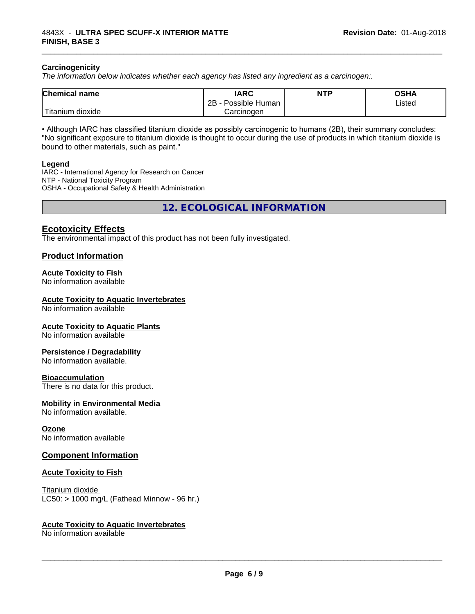### **Carcinogenicity**

*The information below indicateswhether each agency has listed any ingredient as a carcinogen:.*

| <b>Chemical name</b>                | <b>IARC</b>                 | <b>NTP</b> | <b>OSHA</b> |
|-------------------------------------|-----------------------------|------------|-------------|
|                                     | . .<br>2B<br>Possible Human |            | Listed      |
| <b>TELL</b><br>dioxide<br>l itanıum | Carcinoɑen                  |            |             |

• Although IARC has classified titanium dioxide as possibly carcinogenic to humans (2B), their summary concludes: "No significant exposure to titanium dioxide is thought to occur during the use of products in which titanium dioxide is bound to other materials, such as paint."

### **Legend**

IARC - International Agency for Research on Cancer NTP - National Toxicity Program OSHA - Occupational Safety & Health Administration

**12. ECOLOGICAL INFORMATION**

### **Ecotoxicity Effects**

The environmental impact of this product has not been fully investigated.

### **Product Information**

### **Acute Toxicity to Fish**

No information available

### **Acute Toxicity to Aquatic Invertebrates**

No information available

### **Acute Toxicity to Aquatic Plants**

No information available

### **Persistence / Degradability**

No information available.

### **Bioaccumulation**

There is no data for this product.

### **Mobility in Environmental Media**

No information available.

### **Ozone**

No information available

### **Component Information**

### **Acute Toxicity to Fish**

Titanium dioxide  $LC50:$  > 1000 mg/L (Fathead Minnow - 96 hr.)

### **Acute Toxicity to Aquatic Invertebrates**

No information available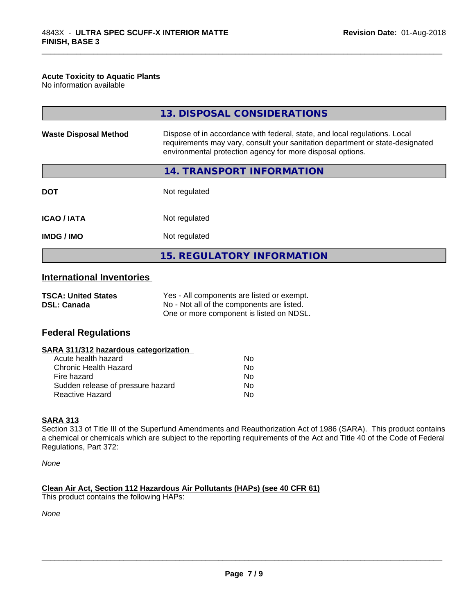### **Acute Toxicity to Aquatic Plants**

No information available

|                                                  | 13. DISPOSAL CONSIDERATIONS                                                                                                                                                                                               |
|--------------------------------------------------|---------------------------------------------------------------------------------------------------------------------------------------------------------------------------------------------------------------------------|
| <b>Waste Disposal Method</b>                     | Dispose of in accordance with federal, state, and local regulations. Local<br>requirements may vary, consult your sanitation department or state-designated<br>environmental protection agency for more disposal options. |
|                                                  | 14. TRANSPORT INFORMATION                                                                                                                                                                                                 |
| <b>DOT</b>                                       | Not regulated                                                                                                                                                                                                             |
| <b>ICAO / IATA</b>                               | Not regulated                                                                                                                                                                                                             |
| <b>IMDG / IMO</b>                                | Not regulated                                                                                                                                                                                                             |
|                                                  | <b>15. REGULATORY INFORMATION</b>                                                                                                                                                                                         |
| <b>International Inventories</b>                 |                                                                                                                                                                                                                           |
| <b>TSCA: United States</b><br><b>DSL: Canada</b> | Yes - All components are listed or exempt.<br>No - Not all of the components are listed.                                                                                                                                  |

One or more component is listed on NDSL.

\_\_\_\_\_\_\_\_\_\_\_\_\_\_\_\_\_\_\_\_\_\_\_\_\_\_\_\_\_\_\_\_\_\_\_\_\_\_\_\_\_\_\_\_\_\_\_\_\_\_\_\_\_\_\_\_\_\_\_\_\_\_\_\_\_\_\_\_\_\_\_\_\_\_\_\_\_\_\_\_\_\_\_\_\_\_\_\_\_\_\_\_\_

### **Federal Regulations**

| SARA 311/312 hazardous categorization |    |  |
|---------------------------------------|----|--|
| Acute health hazard                   | Nο |  |
| Chronic Health Hazard                 | No |  |
| Fire hazard                           | No |  |
| Sudden release of pressure hazard     | Nο |  |
| <b>Reactive Hazard</b>                | No |  |

### **SARA 313**

Section 313 of Title III of the Superfund Amendments and Reauthorization Act of 1986 (SARA). This product contains a chemical or chemicals which are subject to the reporting requirements of the Act and Title 40 of the Code of Federal Regulations, Part 372:

*None*

**Clean Air Act,Section 112 Hazardous Air Pollutants (HAPs) (see 40 CFR 61)** This product contains the following HAPs:

*None*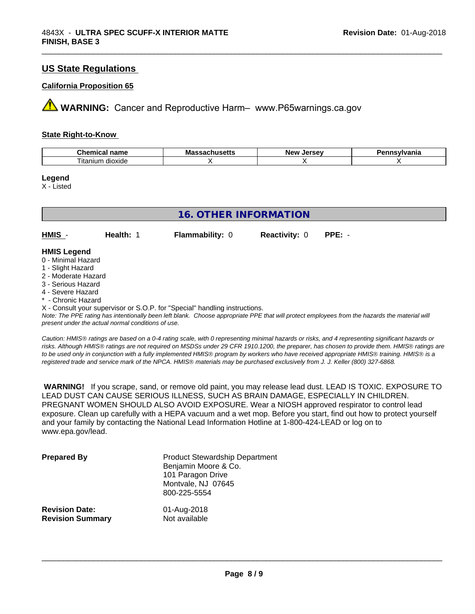### **US State Regulations**

### **California Proposition 65**

**AVIMARNING:** Cancer and Reproductive Harm– www.P65warnings.ca.gov

### **State Right-to-Know**

| $P_{\text{h}}$<br>$-$<br>Chel<br>. папе<br>:1111 | .<br>ма<br>.<br>nuscus | <i><u>Inrenu</u></i><br>ND:<br>JELSE | sylvania |
|--------------------------------------------------|------------------------|--------------------------------------|----------|
| --<br>dioxide<br>itanium                         |                        |                                      |          |

\_\_\_\_\_\_\_\_\_\_\_\_\_\_\_\_\_\_\_\_\_\_\_\_\_\_\_\_\_\_\_\_\_\_\_\_\_\_\_\_\_\_\_\_\_\_\_\_\_\_\_\_\_\_\_\_\_\_\_\_\_\_\_\_\_\_\_\_\_\_\_\_\_\_\_\_\_\_\_\_\_\_\_\_\_\_\_\_\_\_\_\_\_

### **Legend**

X - Listed

| <b>16. OTHER INFORMATION</b>                                  |           |                        |                      |          |  |
|---------------------------------------------------------------|-----------|------------------------|----------------------|----------|--|
|                                                               |           |                        |                      |          |  |
| HMIS -                                                        | Health: 1 | <b>Flammability: 0</b> | <b>Reactivity: 0</b> | $PPE: -$ |  |
| <b>HMIS Legend</b><br>0 - Minimal Hazard<br>1 - Slight Hazard |           |                        |                      |          |  |
| 2 - Moderate Hazard<br>3 - Serious Hazard                     |           |                        |                      |          |  |
| 4 - Severe Hazard<br>* - Chronic Hazard                       |           |                        |                      |          |  |

X - Consult your supervisor or S.O.P. for "Special" handling instructions.

*Note: The PPE rating has intentionally been left blank. Choose appropriate PPE that will protect employees from the hazards the material will present under the actual normal conditions of use.*

*Caution: HMISÒ ratings are based on a 0-4 rating scale, with 0 representing minimal hazards or risks, and 4 representing significant hazards or risks. Although HMISÒ ratings are not required on MSDSs under 29 CFR 1910.1200, the preparer, has chosen to provide them. HMISÒ ratings are to be used only in conjunction with a fully implemented HMISÒ program by workers who have received appropriate HMISÒ training. HMISÒ is a registered trade and service mark of the NPCA. HMISÒ materials may be purchased exclusively from J. J. Keller (800) 327-6868.*

 **WARNING!** If you scrape, sand, or remove old paint, you may release lead dust. LEAD IS TOXIC. EXPOSURE TO LEAD DUST CAN CAUSE SERIOUS ILLNESS, SUCH AS BRAIN DAMAGE, ESPECIALLY IN CHILDREN. PREGNANT WOMEN SHOULD ALSO AVOID EXPOSURE.Wear a NIOSH approved respirator to control lead exposure. Clean up carefully with a HEPA vacuum and a wet mop. Before you start, find out how to protect yourself and your family by contacting the National Lead Information Hotline at 1-800-424-LEAD or log on to www.epa.gov/lead.

| <b>Prepared By</b>      | <b>Product Stewardship Department</b><br>Benjamin Moore & Co.<br>101 Paragon Drive<br>Montvale, NJ 07645<br>800-225-5554 |
|-------------------------|--------------------------------------------------------------------------------------------------------------------------|
| <b>Revision Date:</b>   | 01-Aug-2018                                                                                                              |
| <b>Revision Summary</b> | Not available                                                                                                            |